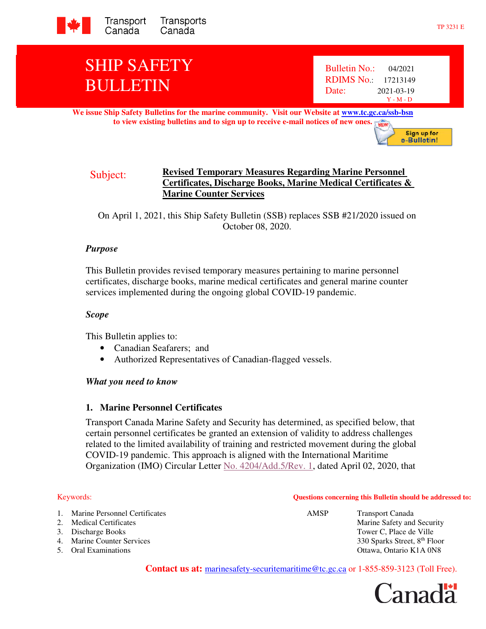

# SHIP SAFETY BULLETIN

**We issue Ship Safety Bulletins for the marine community. Visit our Website at www.tc.gc.ca/ssb-bsn to view existing bulletins and to sign up to receive e-mail notices of new ones. NEW** 



On April 1, 2021, this Ship Safety Bulletin (SSB) replaces SSB #21/2020 issued on October 08, 2020.

### *Purpose*

This Bulletin provides revised temporary measures pertaining to marine personnel certificates, discharge books, marine medical certificates and general marine counter services implemented during the ongoing global COVID-19 pandemic.

#### *Scope*

This Bulletin applies to:

- Canadian Seafarers; and
- Authorized Representatives of Canadian-flagged vessels.

#### *What you need to know*

### **1. Marine Personnel Certificates**

Transport Canada Marine Safety and Security has determined, as specified below, that certain personnel certificates be granted an extension of validity to address challenges related to the limited availability of training and restricted movement during the global COVID-19 pandemic. This approach is aligned with the International Maritime Organization (IMO) Circular Letter No. 4204/Add.5/Rev. 1, dated April 02, 2020, that

#### Keywords: **Questions concerning this Bulletin should be addressed to:**

| 1. Marine Personnel Certificates | AMSP | <b>Transport Canada</b>                  |
|----------------------------------|------|------------------------------------------|
| 2. Medical Certificates          |      | Marine Safety and Security               |
| 3. Discharge Books               |      | Tower C, Place de Ville                  |
| 4. Marine Counter Services       |      | 330 Sparks Street, 8 <sup>th</sup> Floor |
| 5. Oral Examinations             |      | Ottawa, Ontario K1A 0N8                  |

**Contact us at:** marinesafety-securitemaritime@tc.gc.ca or 1-855-859-3123 (Toll Free).

anadä

Sign up for e-Bulletin!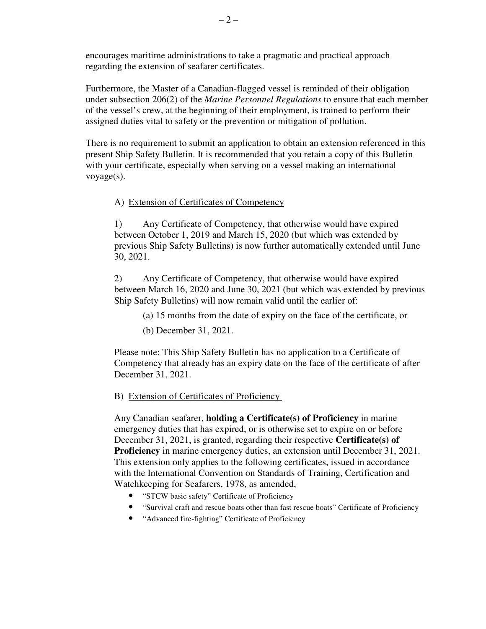encourages maritime administrations to take a pragmatic and practical approach regarding the extension of seafarer certificates.

Furthermore, the Master of a Canadian-flagged vessel is reminded of their obligation under subsection 206(2) of the *Marine Personnel Regulations* to ensure that each member of the vessel's crew, at the beginning of their employment, is trained to perform their assigned duties vital to safety or the prevention or mitigation of pollution.

There is no requirement to submit an application to obtain an extension referenced in this present Ship Safety Bulletin. It is recommended that you retain a copy of this Bulletin with your certificate, especially when serving on a vessel making an international voyage(s).

A) Extension of Certificates of Competency

1) Any Certificate of Competency, that otherwise would have expired between October 1, 2019 and March 15, 2020 (but which was extended by previous Ship Safety Bulletins) is now further automatically extended until June 30, 2021.

2) Any Certificate of Competency, that otherwise would have expired between March 16, 2020 and June 30, 2021 (but which was extended by previous Ship Safety Bulletins) will now remain valid until the earlier of:

(a) 15 months from the date of expiry on the face of the certificate, or

(b) December 31, 2021.

Please note: This Ship Safety Bulletin has no application to a Certificate of Competency that already has an expiry date on the face of the certificate of after December 31, 2021.

B) Extension of Certificates of Proficiency

Any Canadian seafarer, **holding a Certificate(s) of Proficiency** in marine emergency duties that has expired, or is otherwise set to expire on or before December 31, 2021, is granted, regarding their respective **Certificate(s) of Proficiency** in marine emergency duties, an extension until December 31, 2021. This extension only applies to the following certificates, issued in accordance with the International Convention on Standards of Training, Certification and Watchkeeping for Seafarers, 1978, as amended,

- "STCW basic safety" Certificate of Proficiency
- "Survival craft and rescue boats other than fast rescue boats" Certificate of Proficiency
- "Advanced fire-fighting" Certificate of Proficiency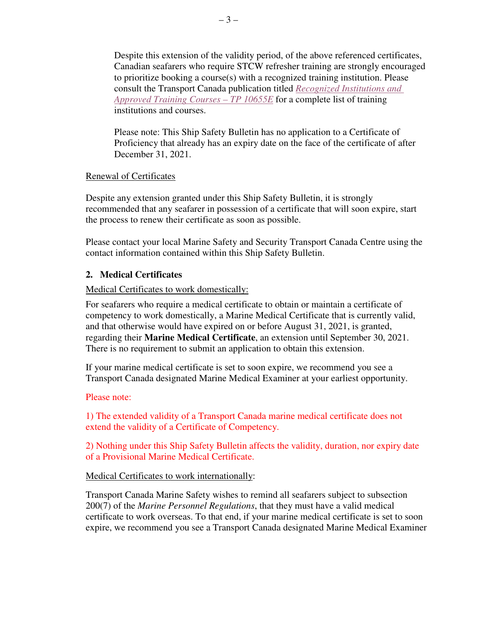Despite this extension of the validity period, of the above referenced certificates, Canadian seafarers who require STCW refresher training are strongly encouraged to prioritize booking a course(s) with a recognized training institution. Please consult the Transport Canada publication titled *Recognized Institutions and Approved Training Courses – TP 10655E* for a complete list of training institutions and courses.

Please note: This Ship Safety Bulletin has no application to a Certificate of Proficiency that already has an expiry date on the face of the certificate of after December 31, 2021.

### Renewal of Certificates

Despite any extension granted under this Ship Safety Bulletin, it is strongly recommended that any seafarer in possession of a certificate that will soon expire, start the process to renew their certificate as soon as possible.

Please contact your local Marine Safety and Security Transport Canada Centre using the contact information contained within this Ship Safety Bulletin.

# **2. Medical Certificates**

### Medical Certificates to work domestically:

For seafarers who require a medical certificate to obtain or maintain a certificate of competency to work domestically, a Marine Medical Certificate that is currently valid, and that otherwise would have expired on or before August 31, 2021, is granted, regarding their **Marine Medical Certificate**, an extension until September 30, 2021. There is no requirement to submit an application to obtain this extension.

If your marine medical certificate is set to soon expire, we recommend you see a Transport Canada designated Marine Medical Examiner at your earliest opportunity.

### Please note:

1) The extended validity of a Transport Canada marine medical certificate does not extend the validity of a Certificate of Competency.

2) Nothing under this Ship Safety Bulletin affects the validity, duration, nor expiry date of a Provisional Marine Medical Certificate.

### Medical Certificates to work internationally:

Transport Canada Marine Safety wishes to remind all seafarers subject to subsection 200(7) of the *Marine Personnel Regulations*, that they must have a valid medical certificate to work overseas. To that end, if your marine medical certificate is set to soon expire, we recommend you see a Transport Canada designated Marine Medical Examiner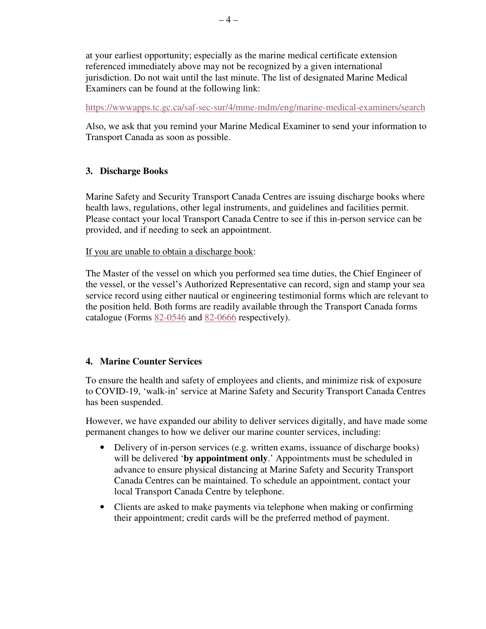at your earliest opportunity; especially as the marine medical certificate extension referenced immediately above may not be recognized by a given international jurisdiction. Do not wait until the last minute. The list of designated Marine Medical Examiners can be found at the following link:

https://wwwapps.tc.gc.ca/saf-sec-sur/4/mme-mdm/eng/marine-medical-examiners/search

Also, we ask that you remind your Marine Medical Examiner to send your information to Transport Canada as soon as possible.

# **3. Discharge Books**

Marine Safety and Security Transport Canada Centres are issuing discharge books where health laws, regulations, other legal instruments, and guidelines and facilities permit. Please contact your local Transport Canada Centre to see if this in-person service can be provided, and if needing to seek an appointment.

If you are unable to obtain a discharge book:

The Master of the vessel on which you performed sea time duties, the Chief Engineer of the vessel, or the vessel's Authorized Representative can record, sign and stamp your sea service record using either nautical or engineering testimonial forms which are relevant to the position held. Both forms are readily available through the Transport Canada forms catalogue (Forms 82-0546 and 82-0666 respectively).

### **4. Marine Counter Services**

To ensure the health and safety of employees and clients, and minimize risk of exposure to COVID-19, 'walk-in' service at Marine Safety and Security Transport Canada Centres has been suspended.

However, we have expanded our ability to deliver services digitally, and have made some permanent changes to how we deliver our marine counter services, including:

- Delivery of in-person services (e.g. written exams, issuance of discharge books) will be delivered '**by appointment only**.' Appointments must be scheduled in advance to ensure physical distancing at Marine Safety and Security Transport Canada Centres can be maintained. To schedule an appointment, contact your local Transport Canada Centre by telephone.
- Clients are asked to make payments via telephone when making or confirming their appointment; credit cards will be the preferred method of payment.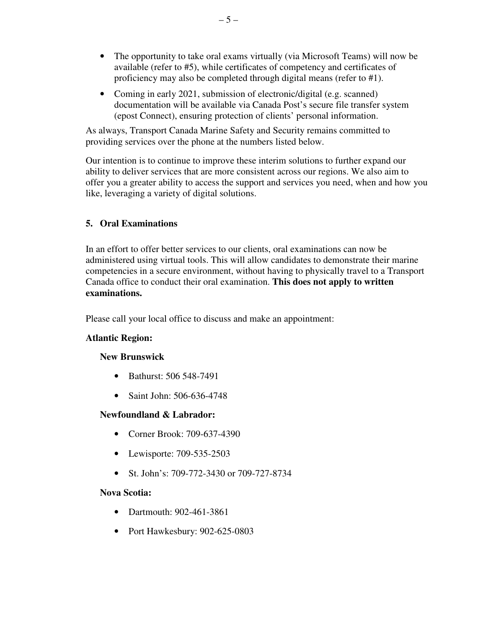- The opportunity to take oral exams virtually (via Microsoft Teams) will now be available (refer to #5), while certificates of competency and certificates of proficiency may also be completed through digital means (refer to #1).
- Coming in early 2021, submission of electronic/digital (e.g. scanned) documentation will be available via Canada Post's secure file transfer system (epost Connect), ensuring protection of clients' personal information.

As always, Transport Canada Marine Safety and Security remains committed to providing services over the phone at the numbers listed below.

Our intention is to continue to improve these interim solutions to further expand our ability to deliver services that are more consistent across our regions. We also aim to offer you a greater ability to access the support and services you need, when and how you like, leveraging a variety of digital solutions.

# **5. Oral Examinations**

In an effort to offer better services to our clients, oral examinations can now be administered using virtual tools. This will allow candidates to demonstrate their marine competencies in a secure environment, without having to physically travel to a Transport Canada office to conduct their oral examination. **This does not apply to written examinations.** 

Please call your local office to discuss and make an appointment:

# **Atlantic Region:**

# **New Brunswick**

- Bathurst: 506 548-7491
- Saint John: 506-636-4748

# **Newfoundland & Labrador:**

- Corner Brook: 709-637-4390
- Lewisporte: 709-535-2503
- St. John's: 709-772-3430 or 709-727-8734

# **Nova Scotia:**

- Dartmouth: 902-461-3861
- Port Hawkesbury: 902-625-0803